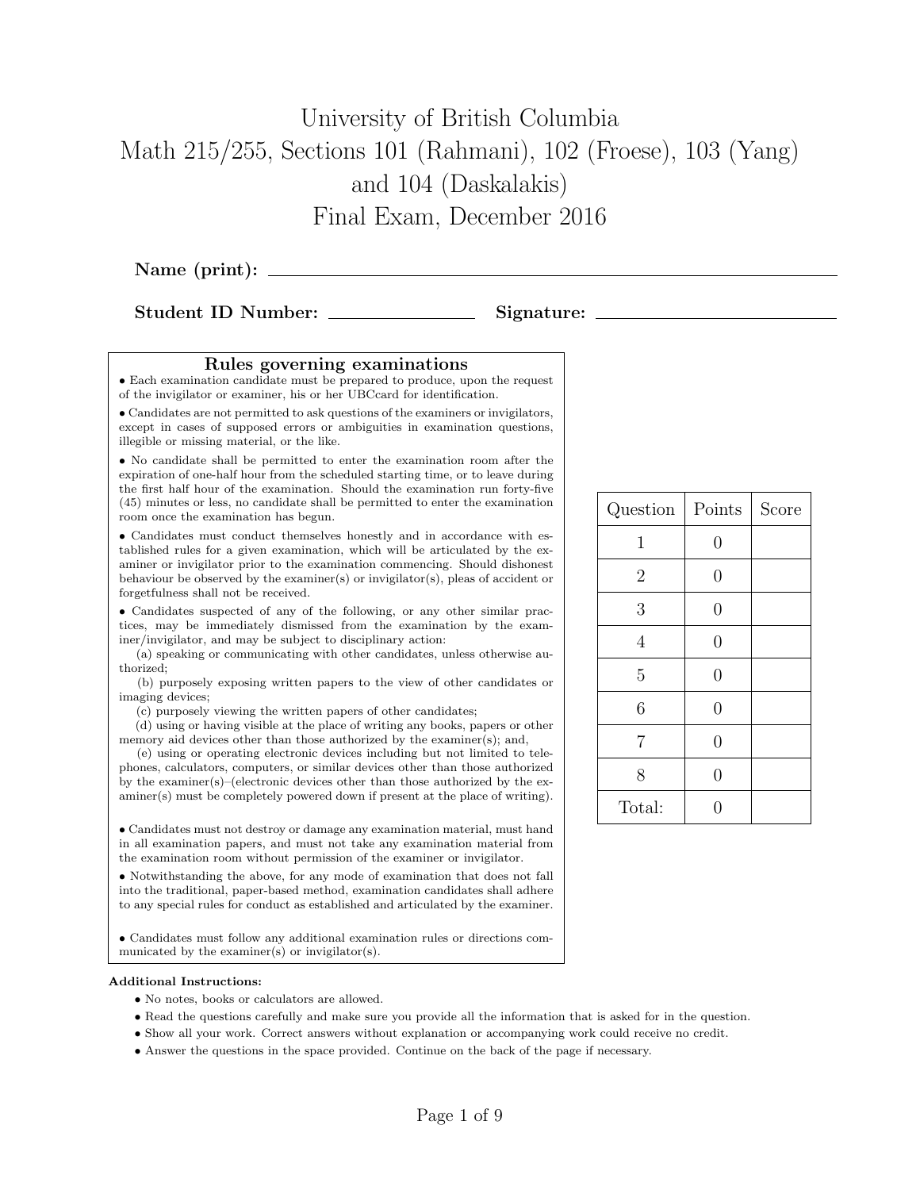# University of British Columbia Math 215/255, Sections 101 (Rahmani), 102 (Froese), 103 (Yang) and 104 (Daskalakis) Final Exam, December 2016

Name (print):

Student ID Number: Signature:

#### Rules governing examinations

• Each examination candidate must be prepared to produce, upon the request of the invigilator or examiner, his or her UBCcard for identification.

• Candidates are not permitted to ask questions of the examiners or invigilators, except in cases of supposed errors or ambiguities in examination questions, illegible or missing material, or the like.

• No candidate shall be permitted to enter the examination room after the expiration of one-half hour from the scheduled starting time, or to leave during the first half hour of the examination. Should the examination run forty-five (45) minutes or less, no candidate shall be permitted to enter the examination room once the examination has begun.

• Candidates must conduct themselves honestly and in accordance with established rules for a given examination, which will be articulated by the examiner or invigilator prior to the examination commencing. Should dishonest behaviour be observed by the examiner(s) or invigilator(s), pleas of accident or forgetfulness shall not be received.

• Candidates suspected of any of the following, or any other similar practices, may be immediately dismissed from the examination by the examiner/invigilator, and may be subject to disciplinary action:

(a) speaking or communicating with other candidates, unless otherwise authorized;

(b) purposely exposing written papers to the view of other candidates or imaging devices;

(c) purposely viewing the written papers of other candidates;

(d) using or having visible at the place of writing any books, papers or other memory aid devices other than those authorized by the examiner(s); and,

(e) using or operating electronic devices including but not limited to telephones, calculators, computers, or similar devices other than those authorized by the examiner(s)–(electronic devices other than those authorized by the examiner(s) must be completely powered down if present at the place of writing).

• Candidates must not destroy or damage any examination material, must hand in all examination papers, and must not take any examination material from the examination room without permission of the examiner or invigilator.

• Notwithstanding the above, for any mode of examination that does not fall into the traditional, paper-based method, examination candidates shall adhere to any special rules for conduct as established and articulated by the examiner.

• Candidates must follow any additional examination rules or directions communicated by the examiner(s) or invigilator(s).

#### Additional Instructions:

- No notes, books or calculators are allowed.
- Read the questions carefully and make sure you provide all the information that is asked for in the question.
- Show all your work. Correct answers without explanation or accompanying work could receive no credit.
- Answer the questions in the space provided. Continue on the back of the page if necessary.

| Question       | Points         | Score |
|----------------|----------------|-------|
| 1              | $\overline{0}$ |       |
| $\overline{2}$ | $\overline{0}$ |       |
| 3              | $\overline{0}$ |       |
| 4              | $\overline{0}$ |       |
| $\overline{5}$ | $\overline{0}$ |       |
| 6              | $\overline{0}$ |       |
| $\overline{7}$ | $\overline{0}$ |       |
| 8              | $\overline{0}$ |       |
| Total:         | 0              |       |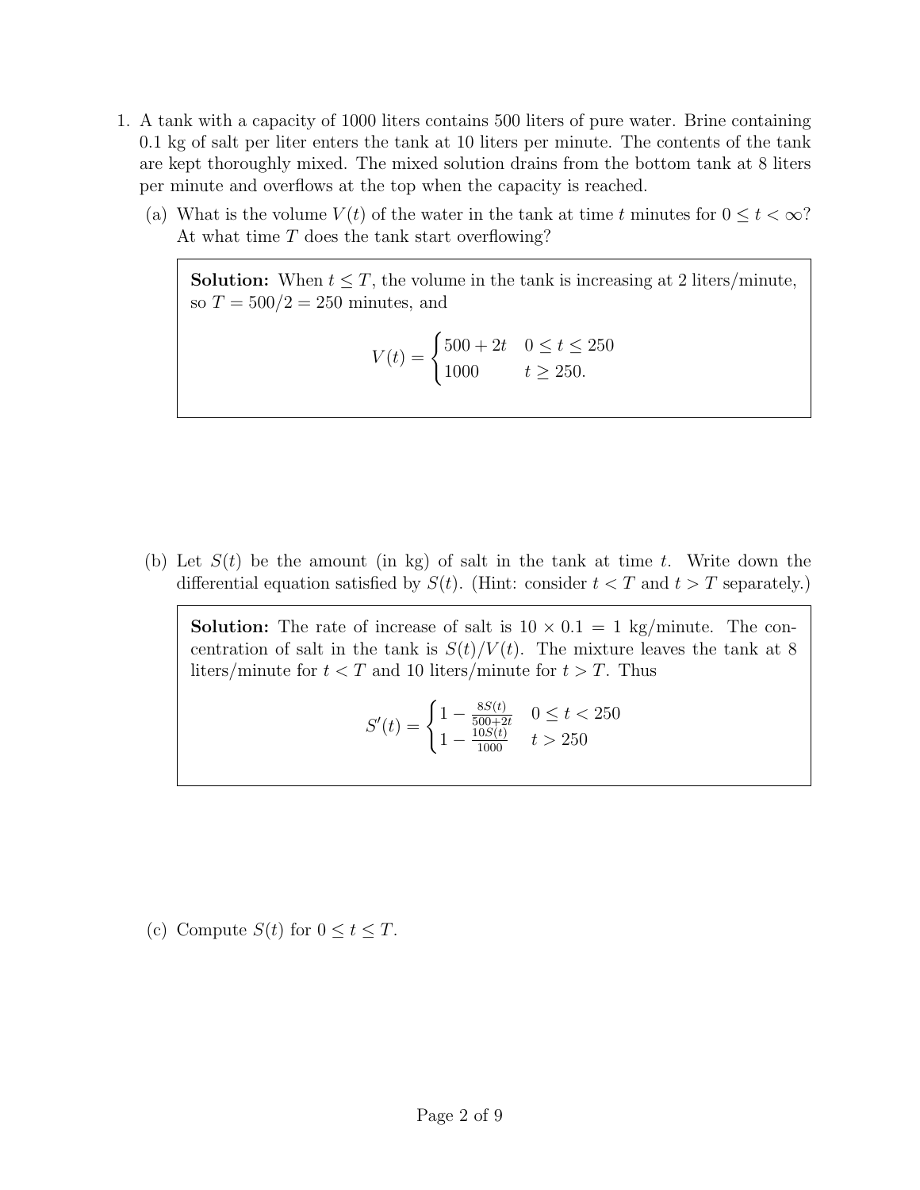- 1. A tank with a capacity of 1000 liters contains 500 liters of pure water. Brine containing 0.1 kg of salt per liter enters the tank at 10 liters per minute. The contents of the tank are kept thoroughly mixed. The mixed solution drains from the bottom tank at 8 liters per minute and overflows at the top when the capacity is reached.
	- (a) What is the volume  $V(t)$  of the water in the tank at time t minutes for  $0 \le t < \infty$ ? At what time T does the tank start overflowing?

**Solution:** When  $t \leq T$ , the volume in the tank is increasing at 2 liters/minute, so  $T = 500/2 = 250$  minutes, and

$$
V(t) = \begin{cases} 500 + 2t & 0 \le t \le 250 \\ 1000 & t \ge 250. \end{cases}
$$

(b) Let  $S(t)$  be the amount (in kg) of salt in the tank at time t. Write down the differential equation satisfied by  $S(t)$ . (Hint: consider  $t < T$  and  $t > T$  separately.)

**Solution:** The rate of increase of salt is  $10 \times 0.1 = 1$  kg/minute. The concentration of salt in the tank is  $S(t)/V(t)$ . The mixture leaves the tank at 8 liters/minute for  $t < T$  and 10 liters/minute for  $t > T$ . Thus

$$
S'(t) = \begin{cases} 1 - \frac{8S(t)}{500 + 2t} & 0 \le t < 250 \\ 1 - \frac{10S(t)}{1000} & t > 250 \end{cases}
$$

(c) Compute  $S(t)$  for  $0 \le t \le T$ .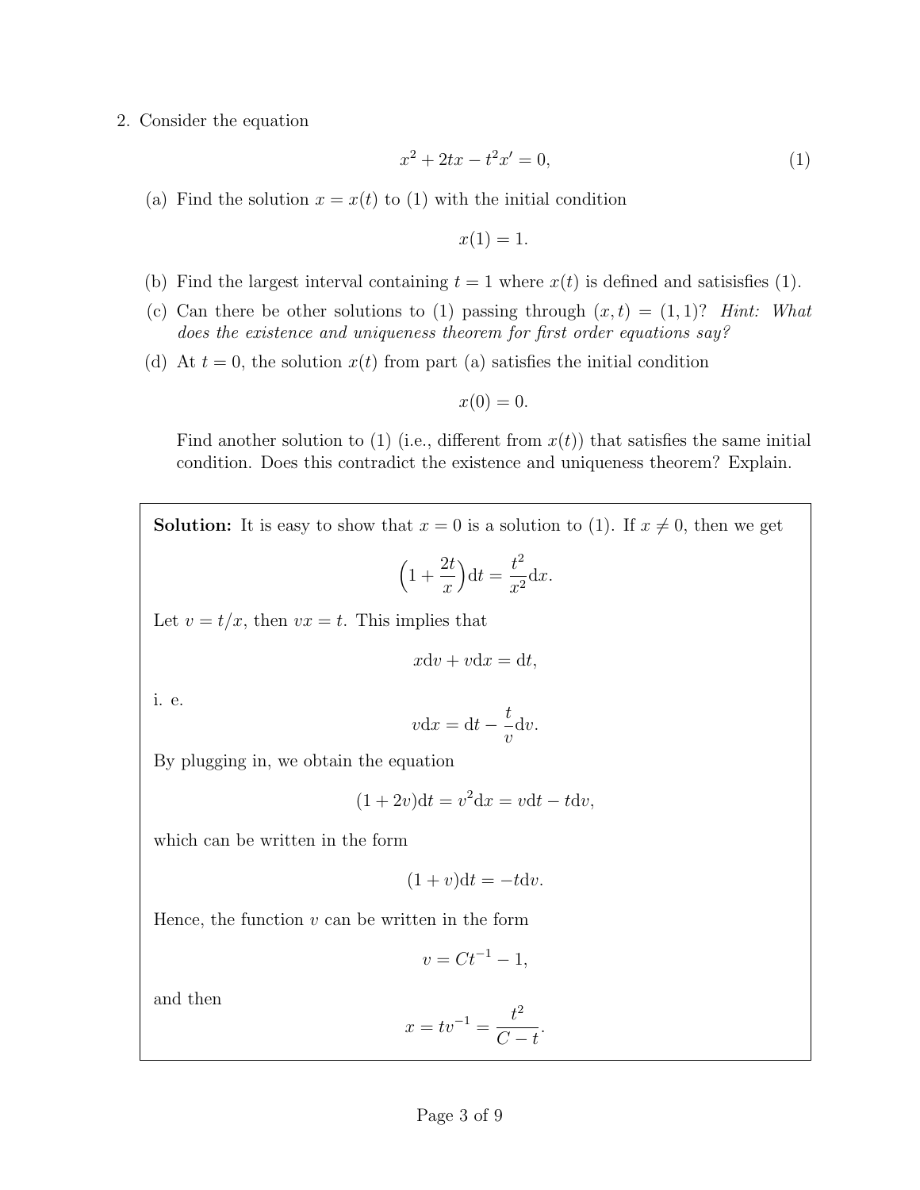## 2. Consider the equation

$$
x^2 + 2tx - t^2x' = 0,\t\t(1)
$$

(a) Find the solution  $x = x(t)$  to (1) with the initial condition

$$
x(1) = 1.
$$

- (b) Find the largest interval containing  $t = 1$  where  $x(t)$  is defined and satisisfies (1).
- (c) Can there be other solutions to (1) passing through  $(x, t) = (1, 1)$ ? Hint: What does the existence and uniqueness theorem for first order equations say?
- (d) At  $t = 0$ , the solution  $x(t)$  from part (a) satisfies the initial condition

$$
x(0) = 0.
$$

Find another solution to (1) (i.e., different from  $x(t)$ ) that satisfies the same initial condition. Does this contradict the existence and uniqueness theorem? Explain.

**Solution:** It is easy to show that  $x = 0$  is a solution to (1). If  $x \neq 0$ , then we get  $\left(1 + \right)$  $2<sub>t</sub>$  $\overline{x}$  $\Big)dt =$  $t^2$  $\frac{c}{x^2}dx$ . Let  $v = t/x$ , then  $vx = t$ . This implies that

$$
x\mathrm{d}v + v\mathrm{d}x = \mathrm{d}t,
$$

i. e.

$$
v\mathrm{d}x = \mathrm{d}t - \frac{t}{v}\mathrm{d}v.
$$

By plugging in, we obtain the equation

$$
(1+2v)dt = v^2 dx = vdt - t dv,
$$

which can be written in the form

$$
(1+v)\mathrm{d}t = -t\mathrm{d}v.
$$

Hence, the function  $v$  can be written in the form

$$
v = Ct^{-1} - 1,
$$

and then

$$
x = tv^{-1} = \frac{t^2}{C - t}.
$$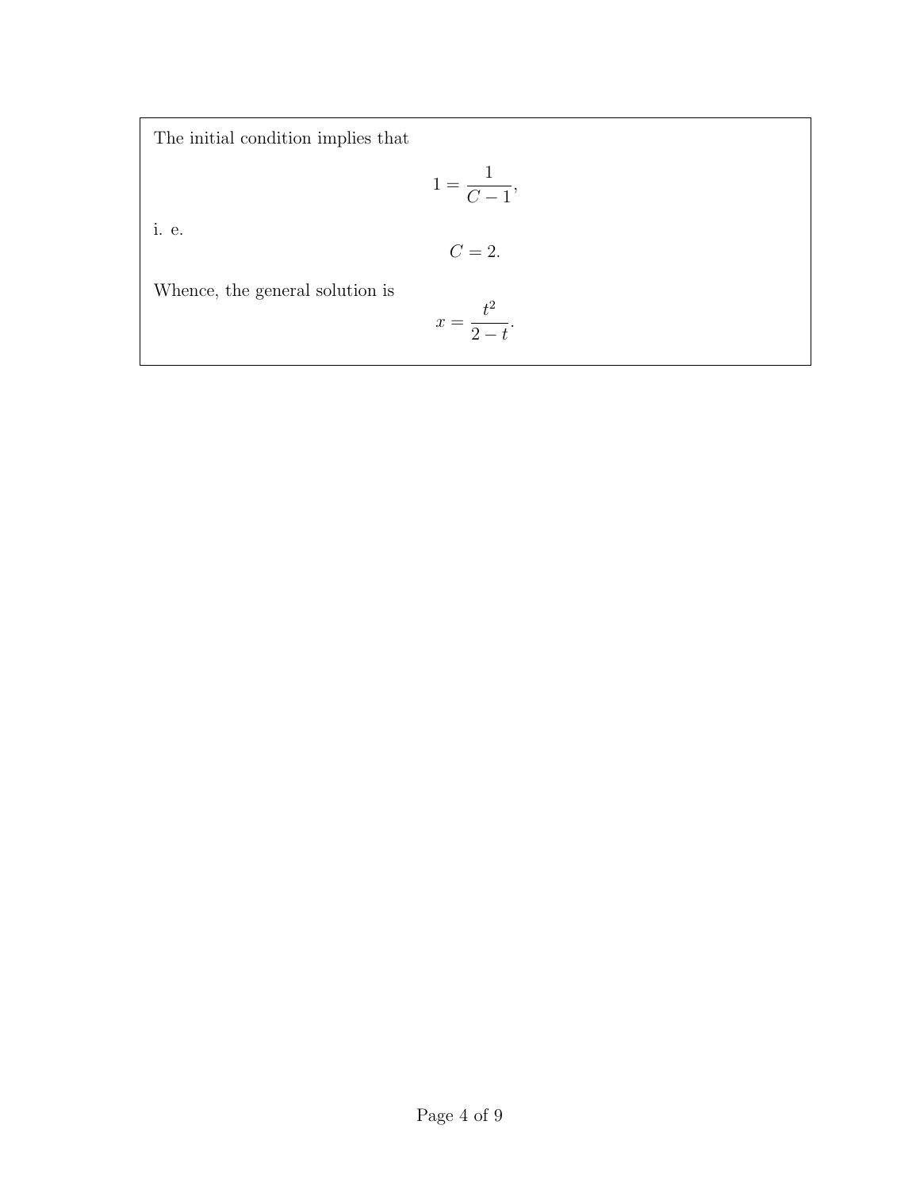The initial condition implies that

$$
1 = \frac{1}{C - 1},
$$

i. e.

$$
C=2.
$$

Whence, the general solution is

$$
x = \frac{t^2}{2 - t}.
$$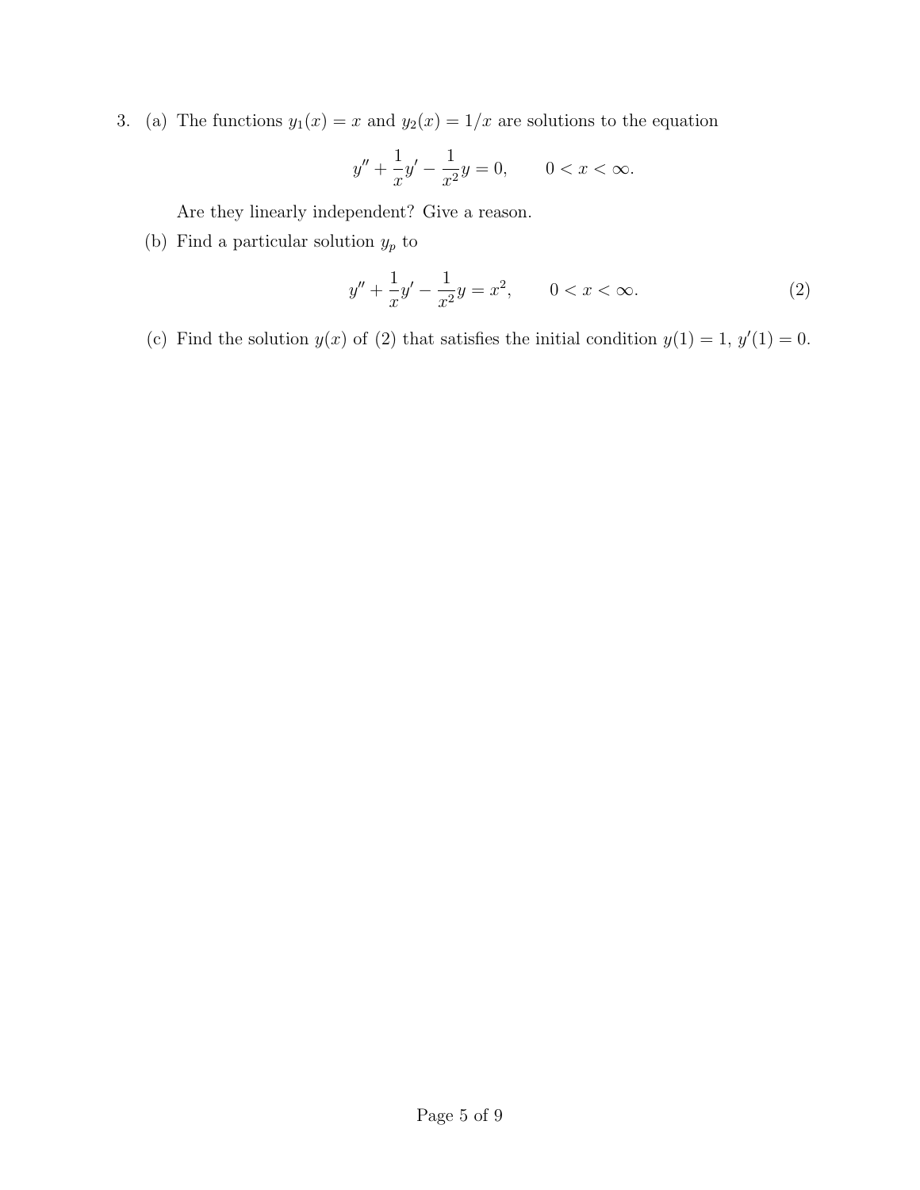3. (a) The functions  $y_1(x) = x$  and  $y_2(x) = 1/x$  are solutions to the equation

$$
y'' + \frac{1}{x}y' - \frac{1}{x^2}y = 0, \qquad 0 < x < \infty.
$$

Are they linearly independent? Give a reason.

(b) Find a particular solution  $y_p$  to

$$
y'' + \frac{1}{x}y' - \frac{1}{x^2}y = x^2, \qquad 0 < x < \infty. \tag{2}
$$

(c) Find the solution  $y(x)$  of (2) that satisfies the initial condition  $y(1) = 1$ ,  $y'(1) = 0$ .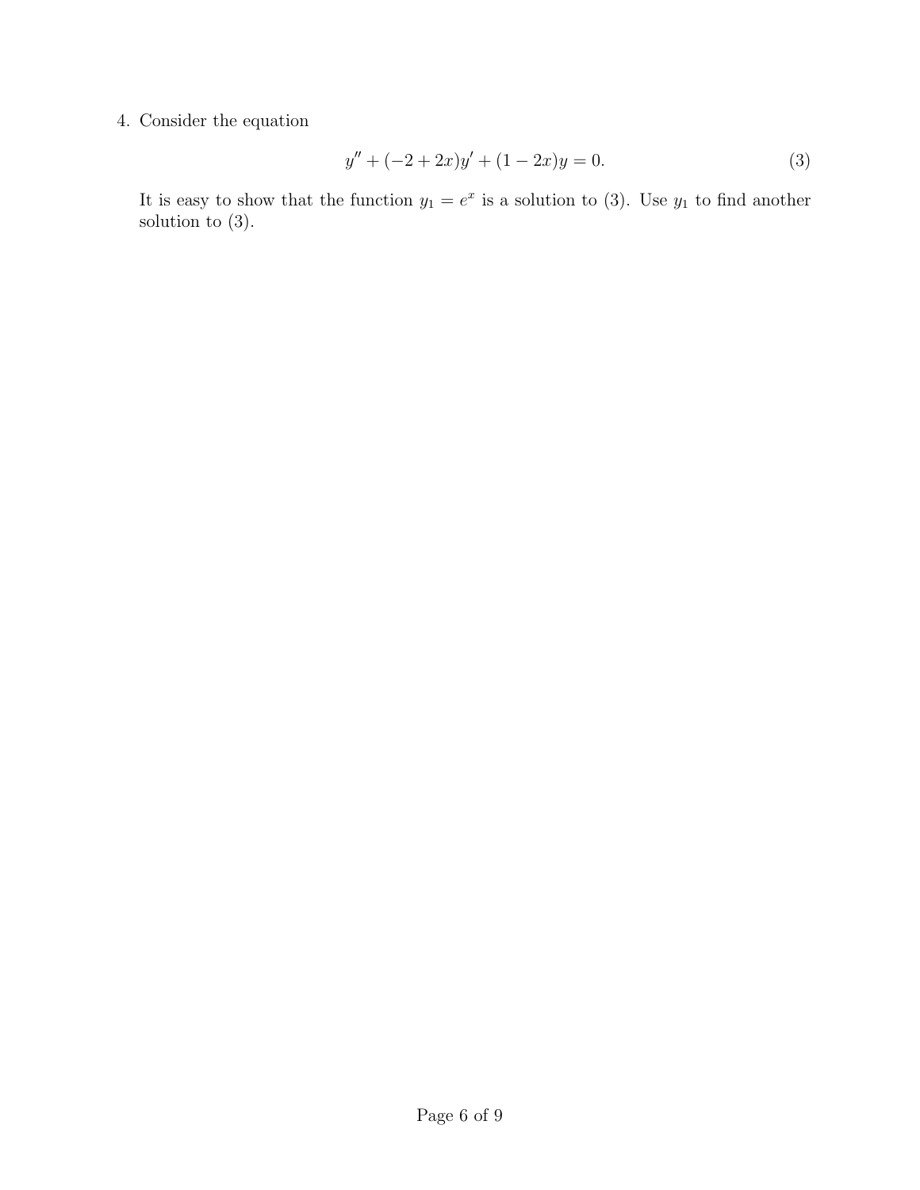# 4. Consider the equation

$$
y'' + (-2 + 2x)y' + (1 - 2x)y = 0.
$$
 (3)

It is easy to show that the function  $y_1 = e^x$  is a solution to (3). Use  $y_1$  to find another solution to (3).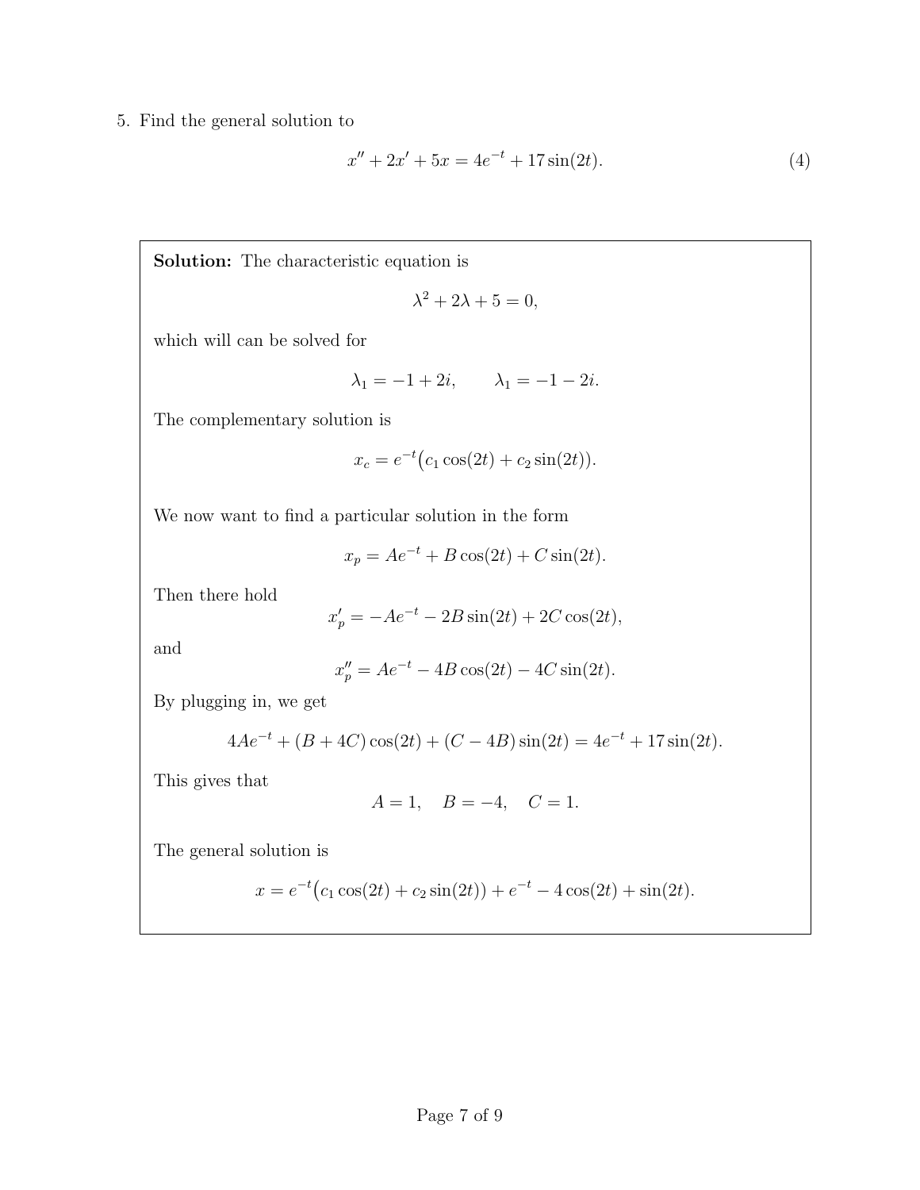5. Find the general solution to

$$
x'' + 2x' + 5x = 4e^{-t} + 17\sin(2t). \tag{4}
$$

Solution: The characteristic equation is

$$
\lambda^2 + 2\lambda + 5 = 0,
$$

which will can be solved for

$$
\lambda_1 = -1 + 2i, \qquad \lambda_1 = -1 - 2i.
$$

The complementary solution is

$$
x_c = e^{-t} (c_1 \cos(2t) + c_2 \sin(2t)).
$$

We now want to find a particular solution in the form

$$
x_p = Ae^{-t} + B\cos(2t) + C\sin(2t).
$$

Then there hold

$$
x_p' = -Ae^{-t} - 2B\sin(2t) + 2C\cos(2t),
$$

and

$$
x_p'' = Ae^{-t} - 4B\cos(2t) - 4C\sin(2t).
$$

By plugging in, we get

$$
4Ae^{-t} + (B + 4C)\cos(2t) + (C - 4B)\sin(2t) = 4e^{-t} + 17\sin(2t).
$$

This gives that

$$
A = 1
$$
,  $B = -4$ ,  $C = 1$ .

The general solution is

$$
x = e^{-t}(c_1 \cos(2t) + c_2 \sin(2t)) + e^{-t} - 4\cos(2t) + \sin(2t).
$$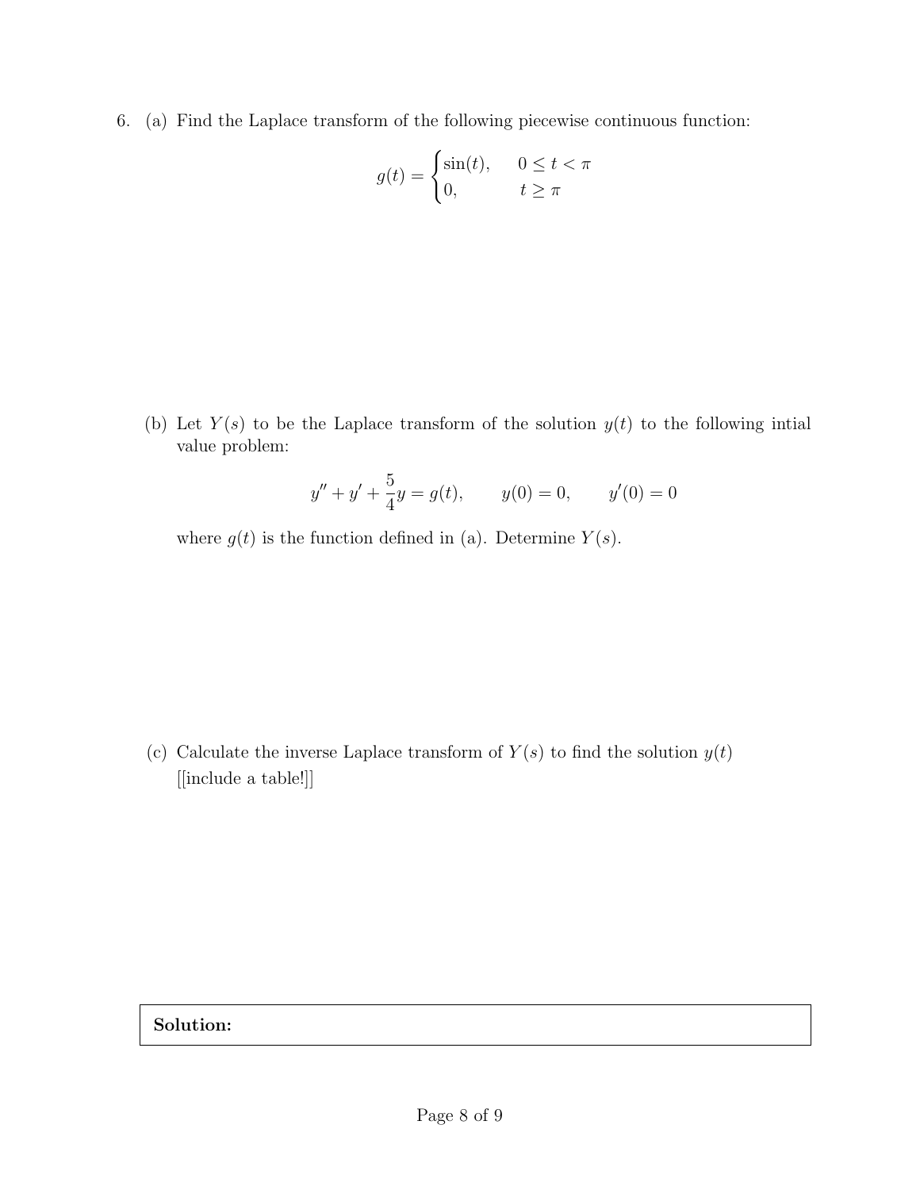6. (a) Find the Laplace transform of the following piecewise continuous function:

$$
g(t) = \begin{cases} \sin(t), & 0 \le t < \pi \\ 0, & t \ge \pi \end{cases}
$$

(b) Let  $Y(s)$  to be the Laplace transform of the solution  $y(t)$  to the following intial value problem:

$$
y'' + y' + \frac{5}{4}y = g(t),
$$
  $y(0) = 0,$   $y'(0) = 0$ 

where  $g(t)$  is the function defined in (a). Determine  $Y(s)$ .

(c) Calculate the inverse Laplace transform of  $Y(s)$  to find the solution  $y(t)$ [[include a table!]]

Solution: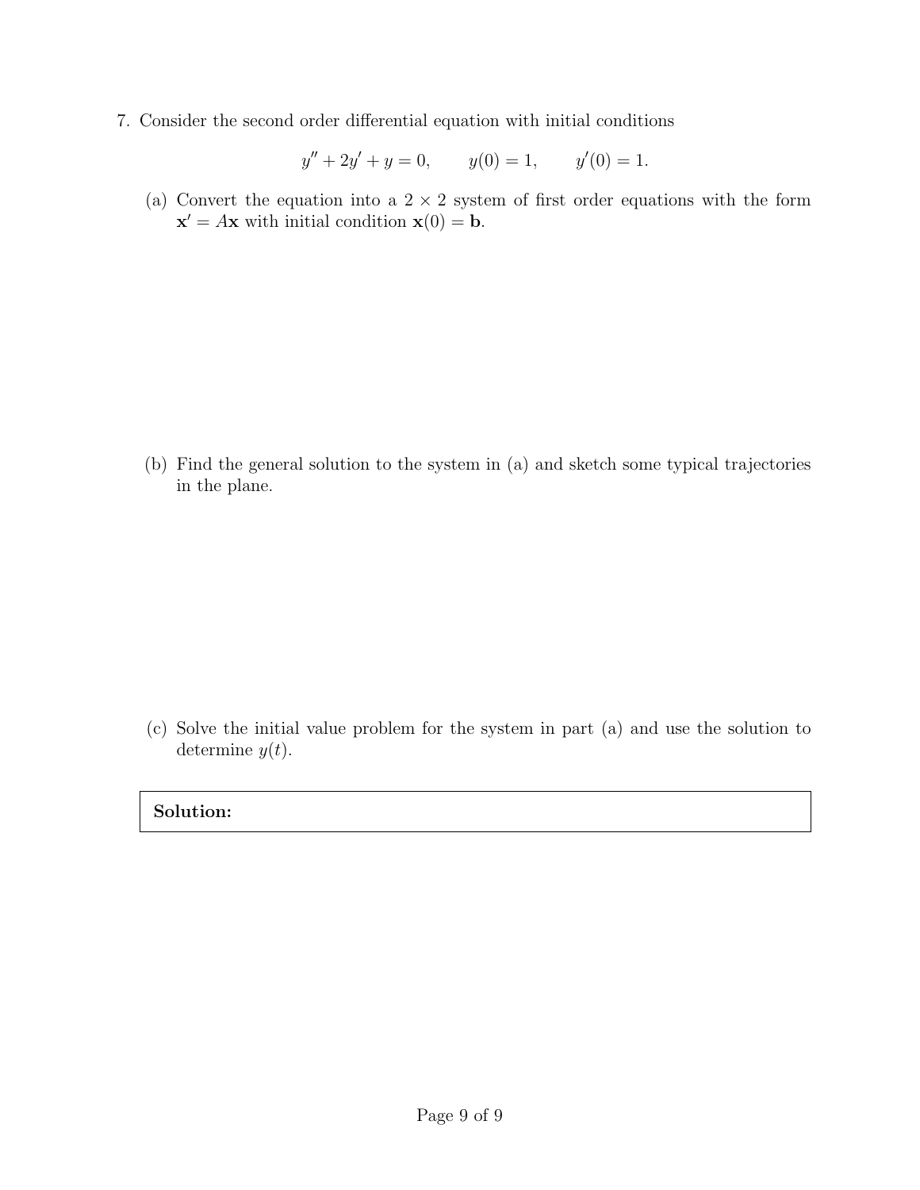7. Consider the second order differential equation with initial conditions

$$
y'' + 2y' + y = 0, \t y(0) = 1, \t y'(0) = 1.
$$

(a) Convert the equation into a  $2 \times 2$  system of first order equations with the form  $\mathbf{x}' = A\mathbf{x}$  with initial condition  $\mathbf{x}(0) = \mathbf{b}$ .

(b) Find the general solution to the system in (a) and sketch some typical trajectories in the plane.

(c) Solve the initial value problem for the system in part (a) and use the solution to determine  $y(t)$ .

### Solution: